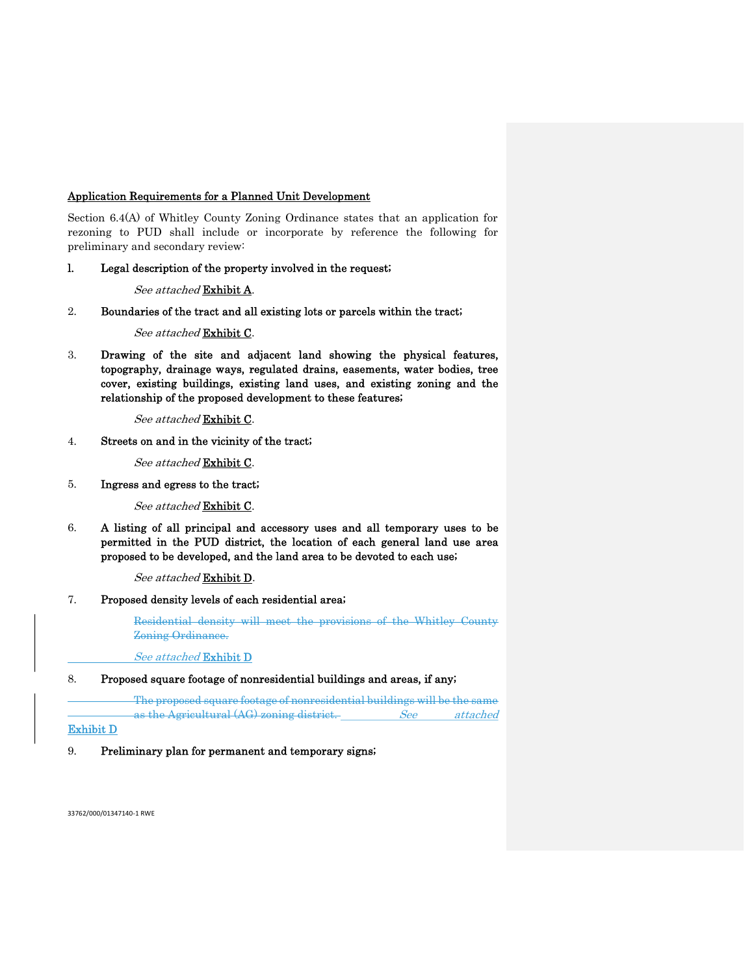# Application Requirements for a Planned Unit Development

Section 6.4(A) of Whitley County Zoning Ordinance states that an application for rezoning to PUD shall include or incorporate by reference the following for preliminary and secondary review:

l. Legal description of the property involved in the request;

#### See attached Exhibit A.

2. Boundaries of the tract and all existing lots or parcels within the tract;

# See attached Exhibit C.

3. Drawing of the site and adjacent land showing the physical features, topography, drainage ways, regulated drains, easements, water bodies, tree cover, existing buildings, existing land uses, and existing zoning and the relationship of the proposed development to these features;

# See attached Exhibit C.

4. Streets on and in the vicinity of the tract;

# See attached Exhibit C.

5. Ingress and egress to the tract;

See attached Exhibit C.

6. A listing of all principal and accessory uses and all temporary uses to be permitted in the PUD district, the location of each general land use area proposed to be developed, and the land area to be devoted to each use;

See attached Exhibit D.

7. Proposed density levels of each residential area;

Residential density will meet the provisions of the Whitley County Zoning Ordinance.

See attached Exhibit D

# 8. Proposed square footage of nonresidential buildings and areas, if any;

 The proposed square footage of nonresidential buildings will be the same as the Agricultural (AG) zoning district. See attached

#### Exhibit D

9. Preliminary plan for permanent and temporary signs;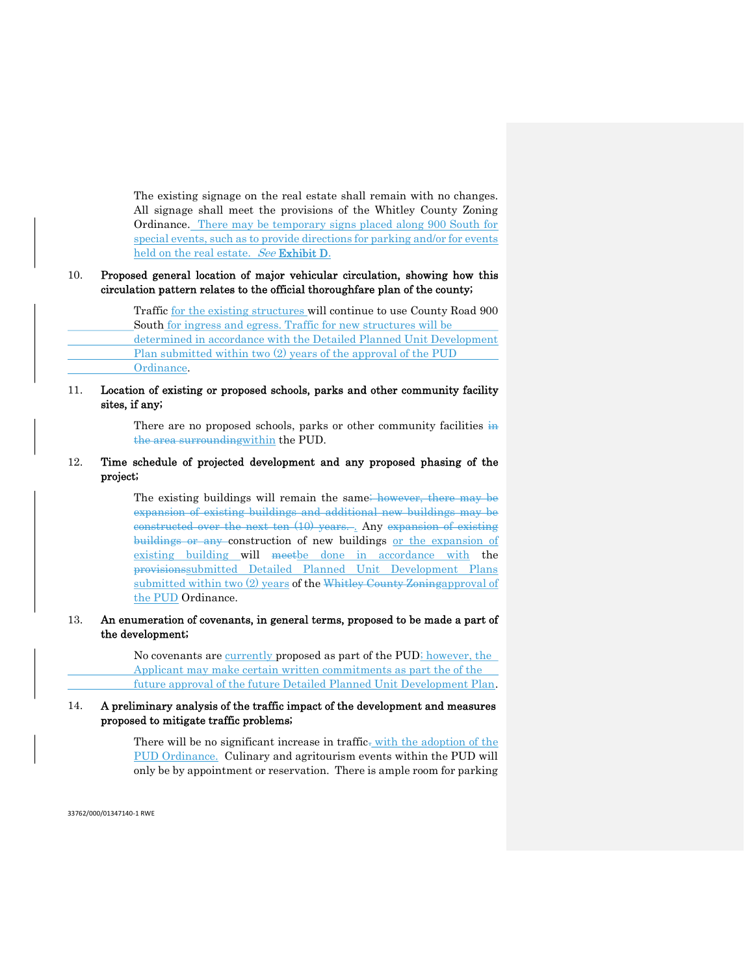The existing signage on the real estate shall remain with no changes. All signage shall meet the provisions of the Whitley County Zoning Ordinance. There may be temporary signs placed along 900 South for special events, such as to provide directions for parking and/or for events held on the real estate. See Exhibit D.

#### 10. Proposed general location of major vehicular circulation, showing how this circulation pattern relates to the official thoroughfare plan of the county;

 Traffic for the existing structures will continue to use County Road 900 South for ingress and egress. Traffic for new structures will be determined in accordance with the Detailed Planned Unit Development Plan submitted within two (2) years of the approval of the PUD Ordinance.

# 11. Location of existing or proposed schools, parks and other community facility sites, if any;

There are no proposed schools, parks or other community facilities in the area surroundingwithin the PUD.

# 12. Time schedule of projected development and any proposed phasing of the project;

The existing buildings will remain the same<del>; however, there may be</del> expansion of existing buildings and additional new buildings may be constructed over the next ten (10) years. . Any expansion of existing buildings or any construction of new buildings or the expansion of existing building will meetbe done in accordance with the provisionssubmitted Detailed Planned Unit Development Plans submitted within two (2) years of the Whitley County Zoningapproval of the PUD Ordinance.

#### 13. An enumeration of covenants, in general terms, proposed to be made a part of the development;

 No covenants are currently proposed as part of the PUD; however, the Applicant may make certain written commitments as part the of the future approval of the future Detailed Planned Unit Development Plan.

# 14. A preliminary analysis of the traffic impact of the development and measures proposed to mitigate traffic problems;

There will be no significant increase in traffic. with the adoption of the PUD Ordinance. Culinary and agritourism events within the PUD will only be by appointment or reservation. There is ample room for parking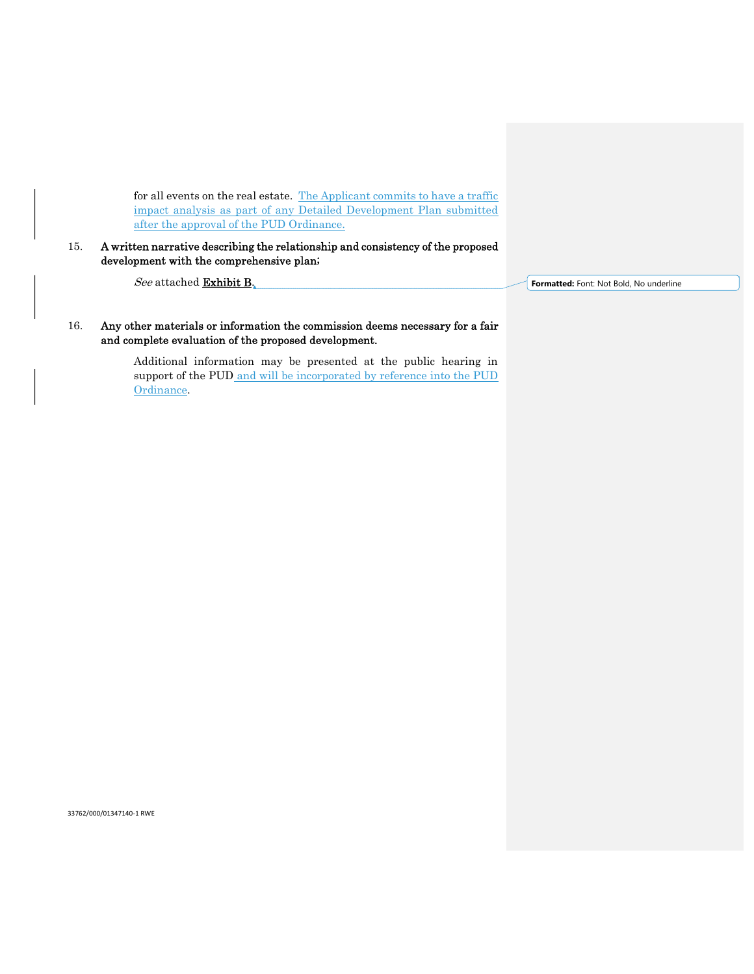for all events on the real estate. The Applicant commits to have a traffic impact analysis as part of any Detailed Development Plan submitted after the approval of the PUD Ordinance.

15. A written narrative describing the relationship and consistency of the proposed development with the comprehensive plan;

See attached Exhibit B.

**Formatted:** Font: Not Bold, No underline

16. Any other materials or information the commission deems necessary for a fair and complete evaluation of the proposed development.

> Additional information may be presented at the public hearing in support of the PUD and will be incorporated by reference into the PUD Ordinance.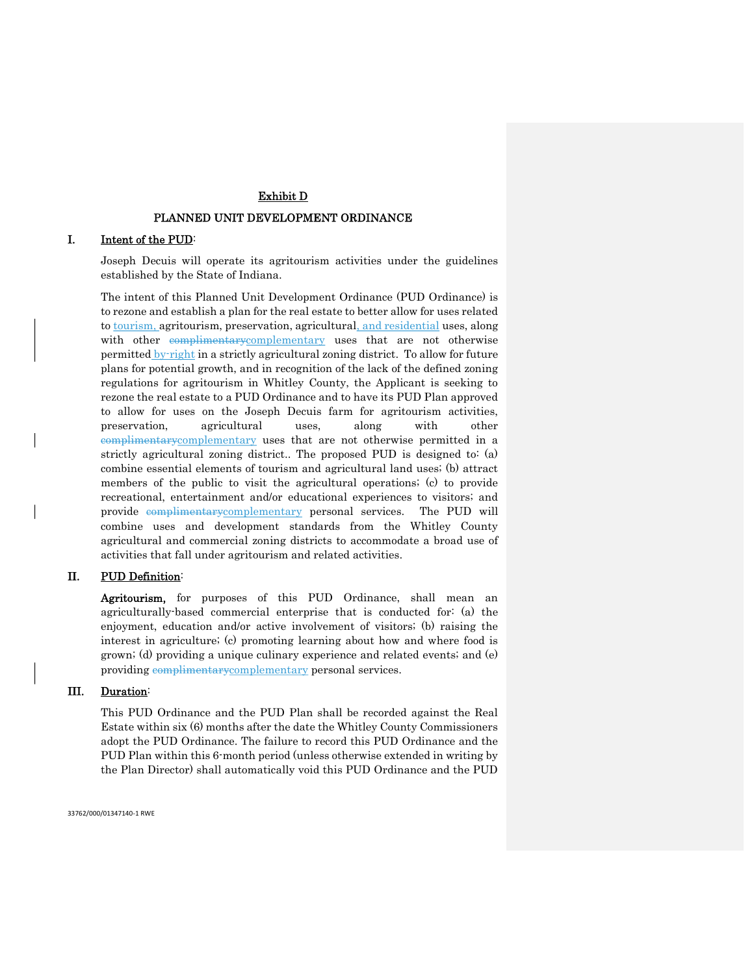# Exhibit D

#### PLANNED UNIT DEVELOPMENT ORDINANCE

#### I. Intent of the PUD:

Joseph Decuis will operate its agritourism activities under the guidelines established by the State of Indiana.

The intent of this Planned Unit Development Ordinance (PUD Ordinance) is to rezone and establish a plan for the real estate to better allow for uses related to tourism, agritourism, preservation, agricultural, and residential uses, along with other complimentarycomplementary uses that are not otherwise permitted by-right in a strictly agricultural zoning district. To allow for future plans for potential growth, and in recognition of the lack of the defined zoning regulations for agritourism in Whitley County, the Applicant is seeking to rezone the real estate to a PUD Ordinance and to have its PUD Plan approved to allow for uses on the Joseph Decuis farm for agritourism activities, preservation, agricultural uses, along with other complimentarycomplementary uses that are not otherwise permitted in a strictly agricultural zoning district.. The proposed PUD is designed to: (a) combine essential elements of tourism and agricultural land uses; (b) attract members of the public to visit the agricultural operations; (c) to provide recreational, entertainment and/or educational experiences to visitors; and provide complimentarycomplementary personal services. The PUD will combine uses and development standards from the Whitley County agricultural and commercial zoning districts to accommodate a broad use of activities that fall under agritourism and related activities.

# II. PUD Definition:

Agritourism, for purposes of this PUD Ordinance, shall mean an agriculturally-based commercial enterprise that is conducted for: (a) the enjoyment, education and/or active involvement of visitors; (b) raising the interest in agriculture; (c) promoting learning about how and where food is grown; (d) providing a unique culinary experience and related events; and (e) providing complimentarycomplementary personal services.

#### III. Duration:

 This PUD Ordinance and the PUD Plan shall be recorded against the Real Estate within six (6) months after the date the Whitley County Commissioners adopt the PUD Ordinance. The failure to record this PUD Ordinance and the PUD Plan within this 6-month period (unless otherwise extended in writing by the Plan Director) shall automatically void this PUD Ordinance and the PUD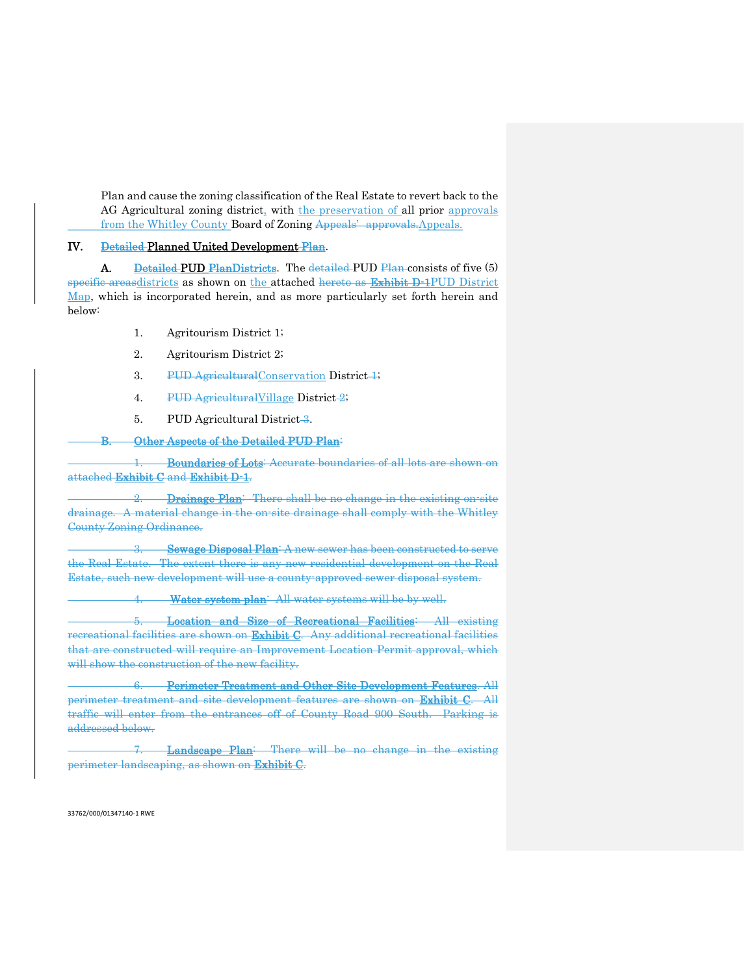Plan and cause the zoning classification of the Real Estate to revert back to the AG Agricultural zoning district, with the preservation of all prior approvals from the Whitley County Board of Zoning Appeals' approvals. Appeals.

#### IV. Detailed Planned United Development Plan.

A. Detailed PUD PlanDistricts. The detailed PUD Plan consists of five (5) specific areasdistricts as shown on the attached hereto as Exhibit D-1PUD District Map, which is incorporated herein, and as more particularly set forth herein and below:

- 1. Agritourism District 1;
- 2. Agritourism District 2;
- 3. PUD Agricultural Conservation District 4;
- 4. PUD Agricultural Village District-2;
- 5. PUD Agricultural District-3.

#### B. Other Aspects of the Detailed PUD Plan:

1. Boundaries of Lots: Accurate boundaries of all lots are shown on attached Exhibit C and Exhibit D-1.

2. **Drainage Plan**: There shall be no change in the existing on-site drainage. A material change in the on-site drainage shall comply with the Whitley County Zoning Ordinance.

3. Sewage Disposal Plan<sup>:</sup> A new sewer has been constructed to serve the Real Estate. The extent there is any new residential development on the Real Estate, such new development will use a county-approved sewer disposal system.

4. Water system plan: All water systems will be by well.

 5. Location and Size of Recreational Facilities: All existing recreational facilities are shown on **Exhibit C**. Any additional recreational facilities that are constructed will require an Improvement Location Permit approval, which will show the construction of the new facility.

 6. Perimeter Treatment and Other Site Development Features. All perimeter treatment and site development features are shown on Exhibit C. All traffic will enter from the entrances off of County Road 900 South. Parking is addressed below.

Landscape Plan: There will be no change in the existing perimeter landscaping, as shown on Exhibit C.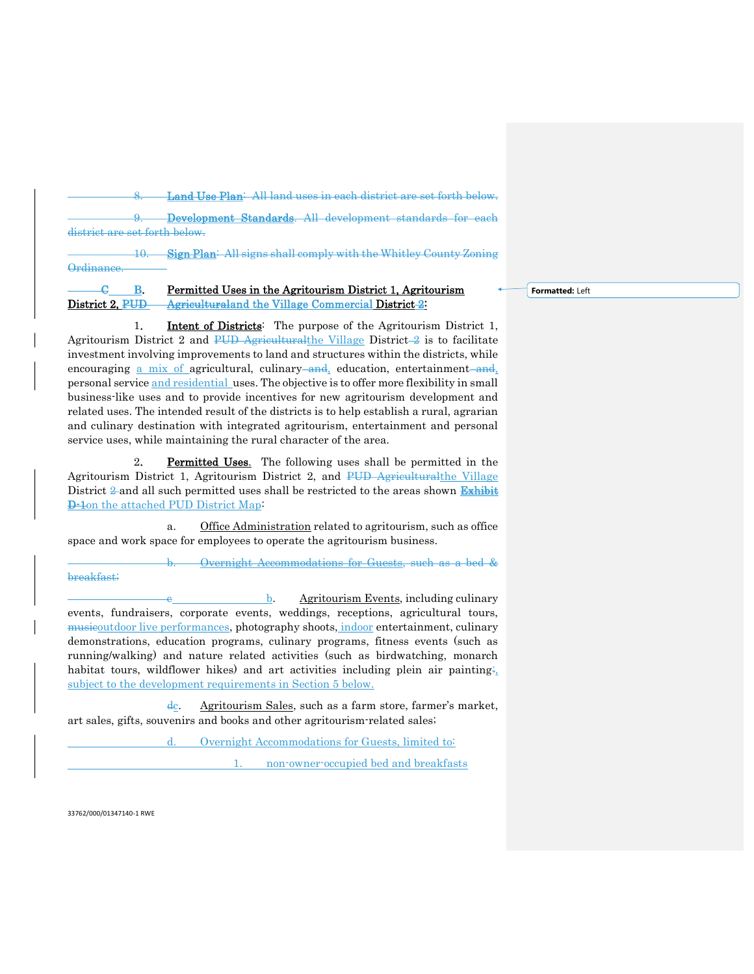Land Use Plan: All land uses in each district are set forth below. 9. Development Standards. All development standards for each district are set forth below. 10. Sign Plan: All signs shall comply with the Whitley County Zoning **Ordinance** 

# G<sub>B.</sub> Permitted Uses in the Agritourism District 1, Agritourism District 2, PUD Agriculturaland the Village Commercial District 2:

1. **Intent of Districts**: The purpose of the Agritourism District 1, Agritourism District 2 and PUD Agriculturalthe Village District  $-2$  is to facilitate investment involving improvements to land and structures within the districts, while encouraging a mix of agricultural, culinary and, education, entertainment and, personal service and residential uses. The objective is to offer more flexibility in small business-like uses and to provide incentives for new agritourism development and related uses. The intended result of the districts is to help establish a rural, agrarian and culinary destination with integrated agritourism, entertainment and personal service uses, while maintaining the rural character of the area.

2. Permitted Uses. The following uses shall be permitted in the Agritourism District 1, Agritourism District 2, and PUD Agriculturalthe Village District 2 and all such permitted uses shall be restricted to the areas shown Exhibit **D-1**on the attached PUD District Map:

 a. Office Administration related to agritourism, such as office space and work space for employees to operate the agritourism business.

Overnight Accommodations for Guests, such as a bed & breakfast;

 $\frac{b}{c}$ . Agritourism Events, including culinary events, fundraisers, corporate events, weddings, receptions, agricultural tours, musicoutdoor live performances, photography shoots, indoor entertainment, culinary demonstrations, education programs, culinary programs, fitness events (such as running/walking) and nature related activities (such as birdwatching, monarch habitat tours, wildflower hikes) and art activities including plein air painting; subject to the development requirements in Section 5 below.

dc. Agritourism Sales, such as a farm store, farmer's market, art sales, gifts, souvenirs and books and other agritourism-related sales;

d. Overnight Accommodations for Guests, limited to:

1. non-owner-occupied bed and breakfasts

33762/000/01347140-1 RWE

**Formatted:** Left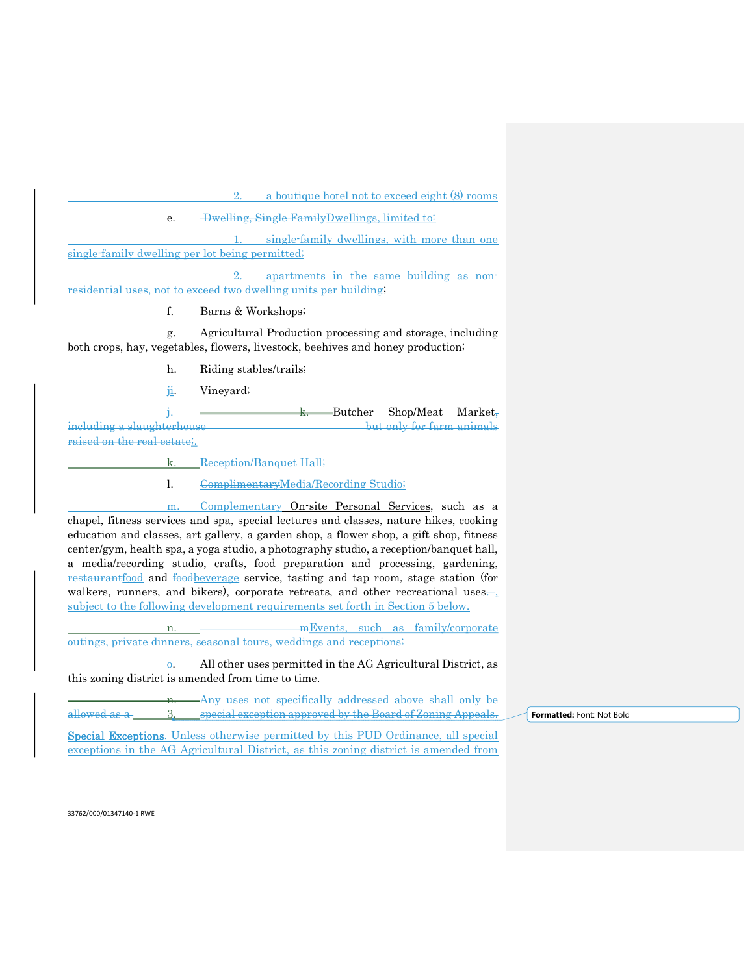2. a boutique hotel not to exceed eight (8) rooms

e. Dwelling, Single FamilyDwellings, limited to:

single-family dwellings, with more than one single-family dwelling per lot being permitted;

 2. apartments in the same building as nonresidential uses, not to exceed two dwelling units per building;

f. Barns & Workshops;

 g. Agricultural Production processing and storage, including both crops, hay, vegetables, flowers, livestock, beehives and honey production;

h. Riding stables/trails;

ji. Vineyard;

 $-Butcher$  Shop/Meat Market, including a slaughterhouse but only for farm animals raised on the real estate;.

k. Reception/Banquet Hall;

l. ComplimentaryMedia/Recording Studio;

 m. Complementary On-site Personal Services, such as a chapel, fitness services and spa, special lectures and classes, nature hikes, cooking education and classes, art gallery, a garden shop, a flower shop, a gift shop, fitness center/gym, health spa, a yoga studio, a photography studio, a reception/banquet hall, a media/recording studio, crafts, food preparation and processing, gardening, restaurantfood and foodbeverage service, tasting and tap room, stage station (for walkers, runners, and bikers), corporate retreats, and other recreational uses. subject to the following development requirements set forth in Section 5 below.

mEvents, such as family/corporate outings, private dinners, seasonal tours, weddings and receptions;

 o. All other uses permitted in the AG Agricultural District, as this zoning district is amended from time to time.

Any uses not specifically addressed above shall only be allowed as a 3. special exception approved by the Board of Zoning Appeals. **Formatted:** Font: Not Bold

Special Exceptions. Unless otherwise permitted by this PUD Ordinance, all special exceptions in the AG Agricultural District, as this zoning district is amended from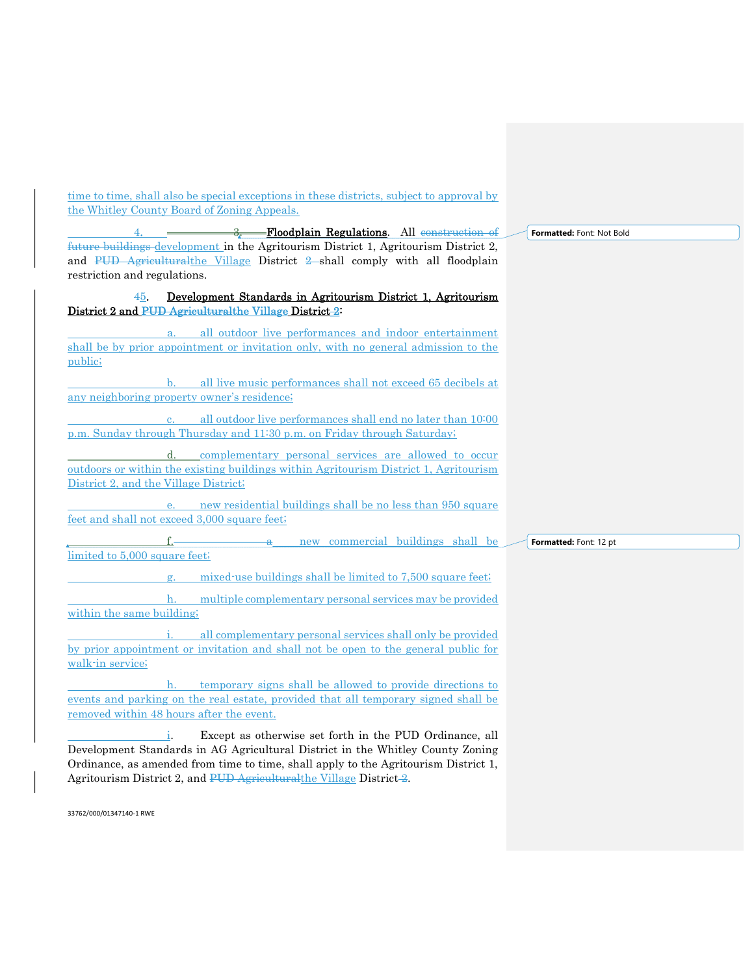time to time, shall also be special exceptions in these districts, subject to approval by the Whitley County Board of Zoning Appeals.

future buildings development in the Agritourism District 1, Agritourism District 2,

and PUD Agriculturalthe Village District 2 shall comply with all floodplain restriction and regulations. 45. Development Standards in Agritourism District 1, Agritourism District 2 and PUD Agriculturalthe Village District 2: a. all outdoor live performances and indoor entertainment shall be by prior appointment or invitation only, with no general admission to the public; b. all live music performances shall not exceed 65 decibels at any neighboring property owner's residence; all outdoor live performances shall end no later than 10:00 p.m. Sunday through Thursday and 11:30 p.m. on Friday through Saturday; d. complementary personal services are allowed to occur outdoors or within the existing buildings within Agritourism District 1, Agritourism District 2, and the Village District;

-Floodplain Regulations. All construction of

**Formatted:** Font: Not Bold

 e. new residential buildings shall be no less than 950 square feet and shall not exceed 3,000 square feet;

new commercial buildings shall be limited to 5,000 square feet; **Formatted:** Font: 12 pt

mixed-use buildings shall be limited to 7,500 square feet;

 h. multiple complementary personal services may be provided within the same building;

all complementary personal services shall only be provided by prior appointment or invitation and shall not be open to the general public for walk-in service;

 h. temporary signs shall be allowed to provide directions to events and parking on the real estate, provided that all temporary signed shall be removed within 48 hours after the event.

Except as otherwise set forth in the PUD Ordinance, all Development Standards in AG Agricultural District in the Whitley County Zoning Ordinance, as amended from time to time, shall apply to the Agritourism District 1, Agritourism District 2, and PUD Agriculturalthe Village District 2.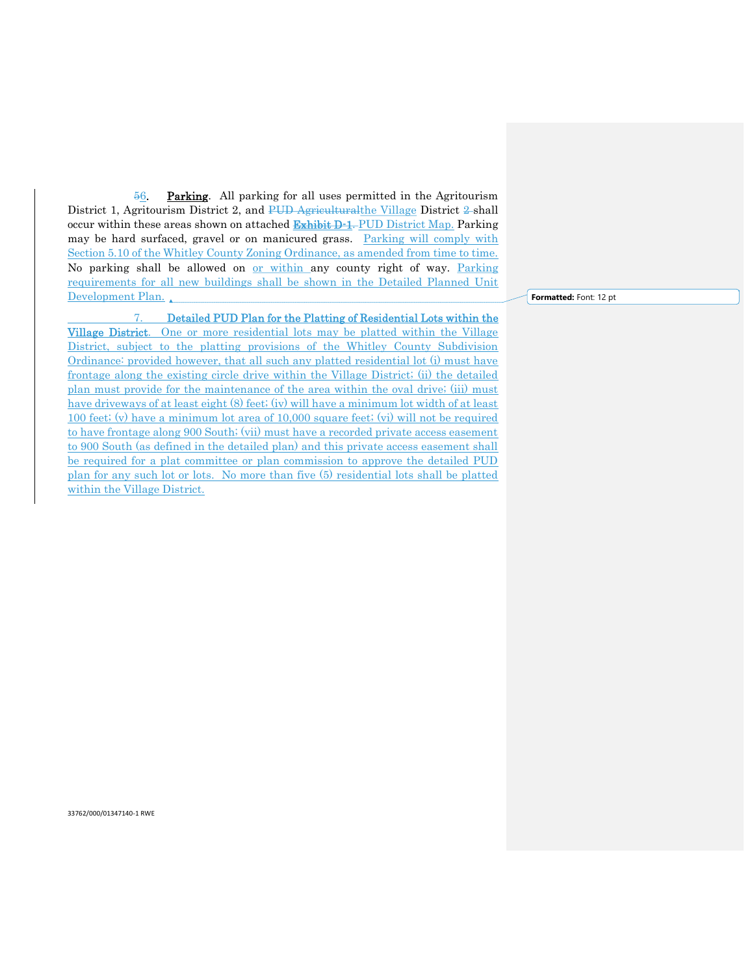56. Parking. All parking for all uses permitted in the Agritourism District 1, Agritourism District 2, and PUD Agriculturalthe Village District 2-shall occur within these areas shown on attached **Exhibit D-1.** PUD District Map. Parking may be hard surfaced, gravel or on manicured grass. Parking will comply with Section 5.10 of the Whitley County Zoning Ordinance, as amended from time to time. No parking shall be allowed on or within any county right of way. Parking requirements for all new buildings shall be shown in the Detailed Planned Unit Development Plan.

 7. Detailed PUD Plan for the Platting of Residential Lots within the Village District. One or more residential lots may be platted within the Village District, subject to the platting provisions of the Whitley County Subdivision Ordinance: provided however, that all such any platted residential lot (i) must have frontage along the existing circle drive within the Village District; (ii) the detailed plan must provide for the maintenance of the area within the oval drive; (iii) must have driveways of at least eight (8) feet; (iv) will have a minimum lot width of at least 100 feet; (v) have a minimum lot area of 10,000 square feet; (vi) will not be required to have frontage along 900 South; (vii) must have a recorded private access easement to 900 South (as defined in the detailed plan) and this private access easement shall be required for a plat committee or plan commission to approve the detailed PUD plan for any such lot or lots. No more than five (5) residential lots shall be platted within the Village District.

**Formatted:** Font: 12 pt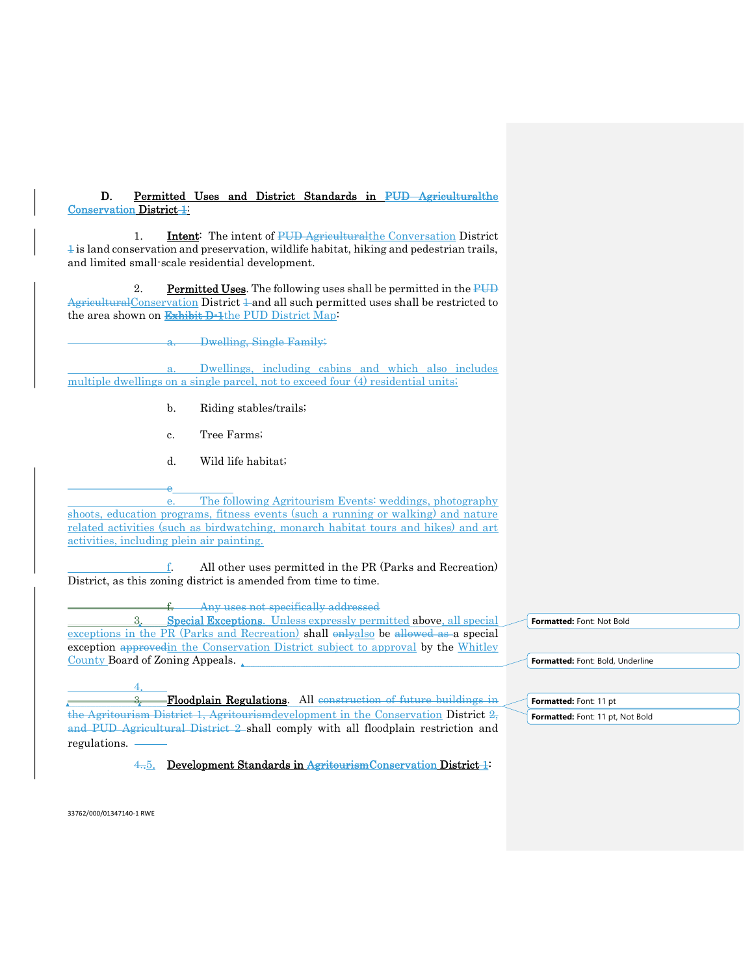D. Permitted Uses and District Standards in PUD Agriculturalthe Conservation District 1:

1. **Intent:** The intent of PUD Agriculturalthe Conversation District  $\frac{1}{2}$  is land conservation and preservation, wildlife habitat, hiking and pedestrian trails, and limited small-scale residential development.

2. Permitted Uses. The following uses shall be permitted in the PUD  $A$ griculturalConservation District  $\pm$  and all such permitted uses shall be restricted to the area shown on Exhibit D-1the PUD District Map:

**Dwelling, Single Family;** 

Dwellings, including cabins and which also includes multiple dwellings on a single parcel, not to exceed four (4) residential units;

- b. Riding stables/trails;
- c. Tree Farms;
- d. Wild life habitat;

**e**\_ e. The following Agritourism Events: weddings, photography shoots, education programs, fitness events (such a running or walking) and nature related activities (such as birdwatching, monarch habitat tours and hikes) and art activities, including plein air painting.

 f. All other uses permitted in the PR (Parks and Recreation) District, as this zoning district is amended from time to time.

Any uses not specifically addressed

 3. Special Exceptions. Unless expressly permitted above, all special exceptions in the PR (Parks and Recreation) shall onlyalso be allowed as a special exception approved in the Conservation District subject to approval by the Whitley County Board of Zoning Appeals.

 4. 3. Floodplain Regulations. All construction of future buildings in the Agritourism District 1, Agritourismdevelopment in the Conservation District 2, and PUD Agricultural District 2 shall comply with all floodplain restriction and regulations.

4..5. Development Standards in AgritourismConservation District 1:

**Formatted:** Font: Not Bold

**Formatted:** Font: Bold, Underline

**Formatted:** Font: 11 pt

**Formatted:** Font: 11 pt, Not Bold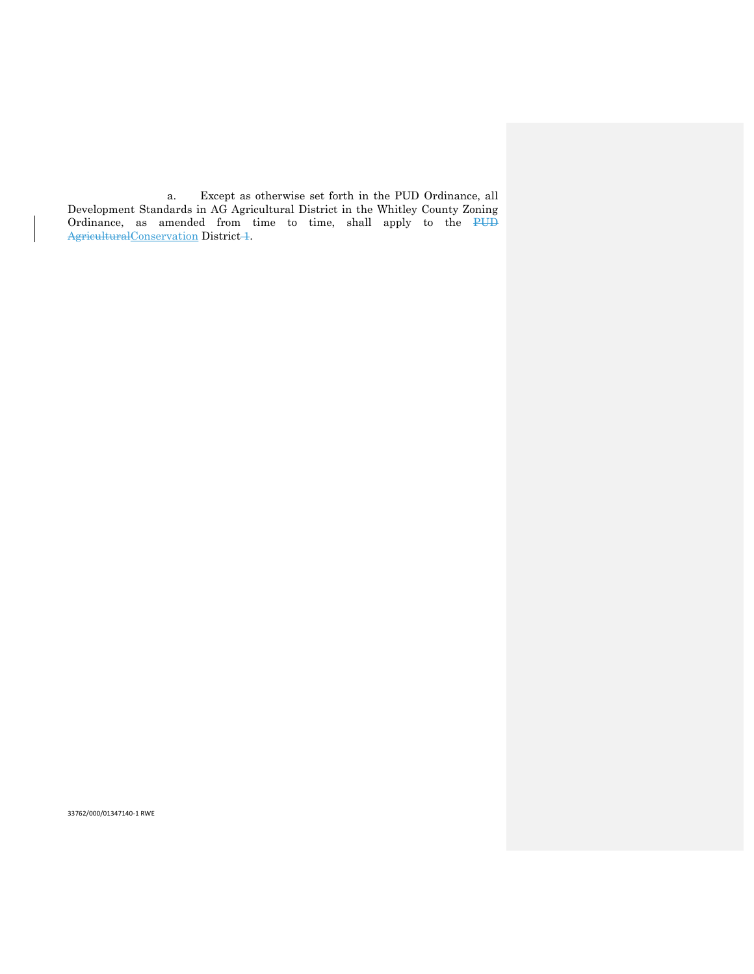a. Except as otherwise set forth in the PUD Ordinance, all Development Standards in AG Agricultural District in the Whitley County Zoning Ordinance, as amended from time to time, shall apply to the PUD AgriculturalConservation District-1.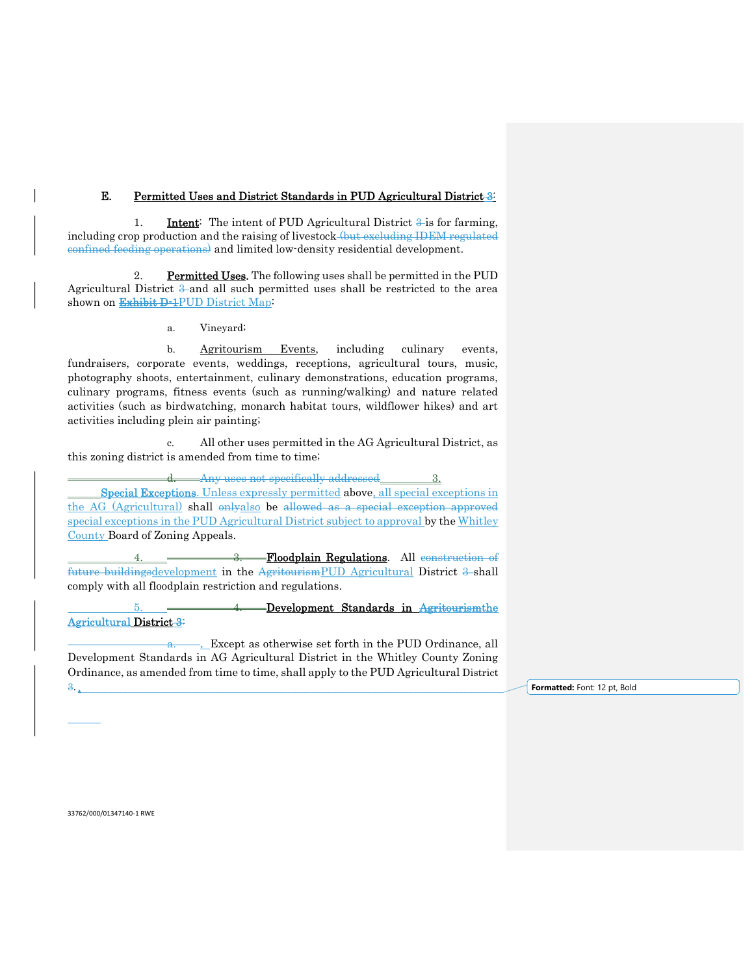# E. Permitted Uses and District Standards in PUD Agricultural District 3:

1. **Intent:** The intent of PUD Agricultural District  $\frac{3}{2}$  is for farming, including crop production and the raising of livestock (but excluding IDEM regulated confined feeding operations) and limited low-density residential development.

 2. Permitted Uses. The following uses shall be permitted in the PUD Agricultural District  $\frac{3}{2}$  and all such permitted uses shall be restricted to the area shown on Exhibit D-1PUD District Map:

a. Vineyard;

b. **Agritourism Events**, including culinary events, fundraisers, corporate events, weddings, receptions, agricultural tours, music, photography shoots, entertainment, culinary demonstrations, education programs, culinary programs, fitness events (such as running/walking) and nature related activities (such as birdwatching, monarch habitat tours, wildflower hikes) and art activities including plein air painting;

 c. All other uses permitted in the AG Agricultural District, as this zoning district is amended from time to time;

d. Any uses not specifically addressed 3. Special Exceptions. Unless expressly permitted above, all special exceptions in the AG (Agricultural) shall onlyalso be allowed as a special exception approved special exceptions in the PUD Agricultural District subject to approval by the Whitley County Board of Zoning Appeals.

 4. 3. Floodplain Regulations. All construction of future buildingsdevelopment in the AgritourismPUD Agricultural District 3-shall comply with all floodplain restriction and regulations.

 5. 4. Development Standards in Agritourismthe Agricultural District 3:

a. Except as otherwise set forth in the PUD Ordinance, all Development Standards in AG Agricultural District in the Whitley County Zoning Ordinance, as amended from time to time, shall apply to the PUD Agricultural District

3. **Formatted:** Font: 12 pt, Bold